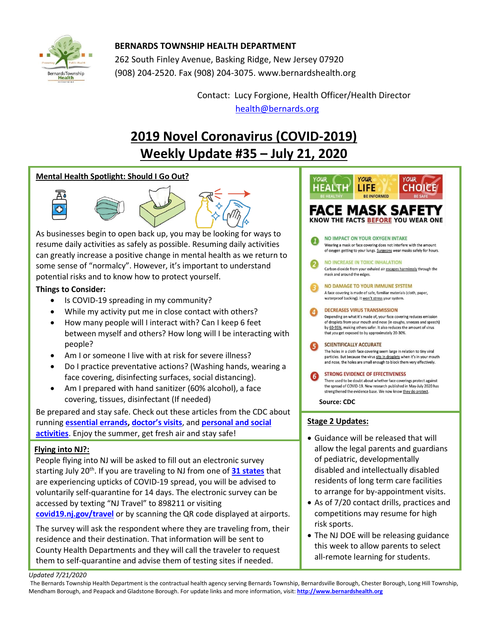

# **BERNARDS TOWNSHIP HEALTH DEPARTMENT**

262 South Finley Avenue, Basking Ridge, New Jersey 07920 (908) 204-2520. Fax (908) 204-3075[. www.bernardshealth.org](http://www.bernardshealth.org/)

> Contact: Lucy Forgione, Health Officer/Health Director [health@bernards.org](mailto:health@bernards.org)

# **2019 Novel Coronavirus (COVID-2019) Weekly Update #35 – July 21, 2020**

## **Mental Health Spotlight: Should I Go Out?**



As businesses begin to open back up, you may be looking for ways to resume daily activities as safely as possible. Resuming daily activities can greatly increase a positive change in mental health as we return to some sense of "normalcy". However, it's important to understand potential risks and to know how to protect yourself.

## **Things to Consider:**

- Is COVID-19 spreading in my community?
- While my activity put me in close contact with others?
- How many people will I interact with? Can I keep 6 feet between myself and others? How long will I be interacting with people?
- Am I or someone I live with at risk for severe illness?
- Do I practice preventative actions? (Washing hands, wearing a face covering, disinfecting surfaces, social distancing).
- Am I prepared with hand sanitizer (60% alcohol), a face covering, tissues, disinfectant (If needed)

Be prepared and stay safe. Check out these articles from the CDC about running **[essential errands,](https://www.cdc.gov/coronavirus/2019-ncov/daily-life-coping/essential-goods-services.html) doctor['s visits](https://www.cdc.gov/coronavirus/2019-ncov/daily-life-coping/doctor-visits-medicine.html)**, and **[personal and social](https://www.cdc.gov/coronavirus/2019-ncov/daily-life-coping/personal-social-activities.html)  [activities](https://www.cdc.gov/coronavirus/2019-ncov/daily-life-coping/personal-social-activities.html)**. Enjoy the summer, get fresh air and stay safe!

## **Flying into NJ?:**

People flying into NJ will be asked to fill out an electronic survey starting July 20<sup>th</sup>. If you are traveling to NJ from one of [31 states](https://covid19.nj.gov/faqs/nj-information/travel-information/which-states-are-on-the-travel-advisory-list-are-there-travel-restrictions-to-or-from-new-jersey) that are experiencing upticks of COVID-19 spread, you will be advised to voluntarily self-quarantine for 14 days. The electronic survey can be accessed by texting "NJ Travel" to 898211 or visiting **[covid19.nj.gov/travel](https://covid19.nj.gov/forms/njtravel)** or by scanning the QR code displayed at airports.

The survey will ask the respondent where they are traveling from, their residence and their destination. That information will be sent to County Health Departments and they will call the traveler to request them to self-quarantine and advise them of testing sites if needed.

#### **YOUR YOUR HEALTH** LIFE **CHOICE** FACE MASK SAFE<sup>.</sup> KNOW THE FACTS BEFORE YOU WEAR ONE NO IMPACT ON YOUR OXYGEN INTAKE Wearing a mask or face covering does not interfere with the amount of oxygen getting to your lungs. Surgeons wear masks safely for hours. NO INCREASE IN TOXIC INHALATION Carbon dioxide from your exhaled air escapes harmlessly through the mask and around the edges. **NO DAMAGE TO YOUR IMMUNE SYSTEM** A face covering is made of safe, familiar materials (cloth, paper, waterproof backing). It won't stress your system **DECREASES VIRUS TRANSMISSION** Depending on what it's made of, your face covering reduces emission of droplets from your mouth and nose (in coughs, sneezes and speech) by 60-95%, making others safer. It also reduces the amount of virus that you get exposed to by approximately 20-30%. **SCIENTIFICALLY ACCURATE** The holes in a cloth face covering seem large in relation to tiny viral particles. But because the virus sits in droplets when it's in your mouth .<br>and nose, the holes are small enough to block them very effectively. **STRONG EVIDENCE OF EFFECTIVENESS** There used to be doubt about whether face coverings protect against the spread of COVID-19. New research published in May-July 2020 has strengthened the evidence base. We now know they do protect. **Source: CDC Stage 2 Updates:** • Guidance will be released that will allow the legal parents and guardians of pediatric, developmentally disabled and intellectually disabled residents of long term care facilities

• As of 7/20 contact drills, practices and competitions may resume for high risk sports.

to arrange for by-appointment visits.

• The NJ DOE will be releasing guidance this week to allow parents to select all-remote learning for students.

*Updated 7/21/2020* 

The Bernards Township Health Department is the contractual health agency serving Bernards Township, Bernardsville Borough, Chester Borough, Long Hill Township, Mendham Borough, and Peapack and Gladstone Borough. For update links and more information, visit: **[http://www.bernardshealth.org](http://www.bernardshealth.org/)**